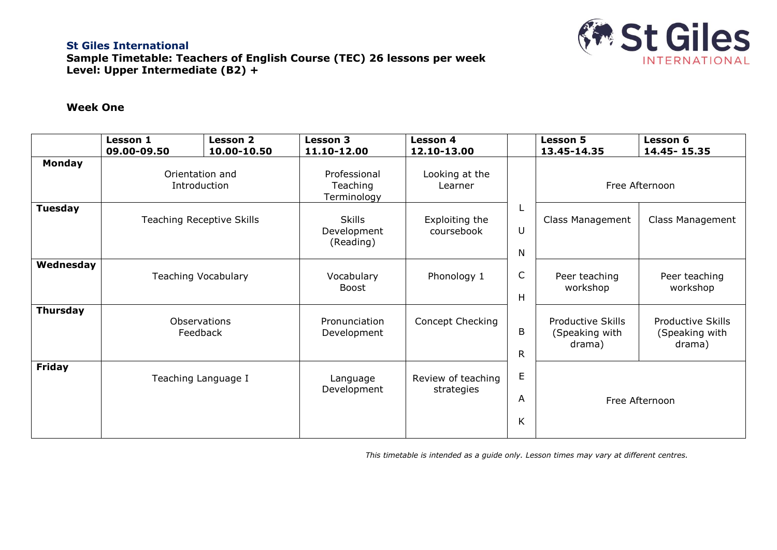

## **St Giles International Sample Timetable: Teachers of English Course (TEC) 26 lessons per week Level: Upper Intermediate (B2) +**

## **Week One**

|                 | Lesson 1<br>09.00-09.50          | <b>Lesson 2</b><br>10.00-10.50 | <b>Lesson 3</b><br>11.10-12.00            | <b>Lesson 4</b><br>12.10-13.00   |                                               | <b>Lesson 5</b><br>13.45-14.35                       | <b>Lesson 6</b><br>14.45 - 15.35                     |  |
|-----------------|----------------------------------|--------------------------------|-------------------------------------------|----------------------------------|-----------------------------------------------|------------------------------------------------------|------------------------------------------------------|--|
| Monday          | Orientation and<br>Introduction  |                                | Professional<br>Teaching<br>Terminology   | Looking at the<br>Learner        |                                               | Free Afternoon                                       |                                                      |  |
| <b>Tuesday</b>  | <b>Teaching Receptive Skills</b> |                                | <b>Skills</b><br>Development<br>(Reading) | Exploiting the<br>coursebook     | U<br>N<br>$\mathsf{C}$<br>Н<br>B<br>${\sf R}$ | Class Management                                     | Class Management                                     |  |
| Wednesday       | <b>Teaching Vocabulary</b>       |                                | Vocabulary<br>Boost                       | Phonology 1                      |                                               | Peer teaching<br>workshop                            | Peer teaching<br>workshop                            |  |
| <b>Thursday</b> | Observations<br>Feedback         |                                | Pronunciation<br>Development              | Concept Checking                 |                                               | <b>Productive Skills</b><br>(Speaking with<br>drama) | <b>Productive Skills</b><br>(Speaking with<br>drama) |  |
| <b>Friday</b>   |                                  | Teaching Language I            | Language<br>Development                   | Review of teaching<br>strategies | $\mathsf E$<br>A<br>K                         | Free Afternoon                                       |                                                      |  |

*This timetable is intended as a guide only. Lesson times may vary at different centres.*